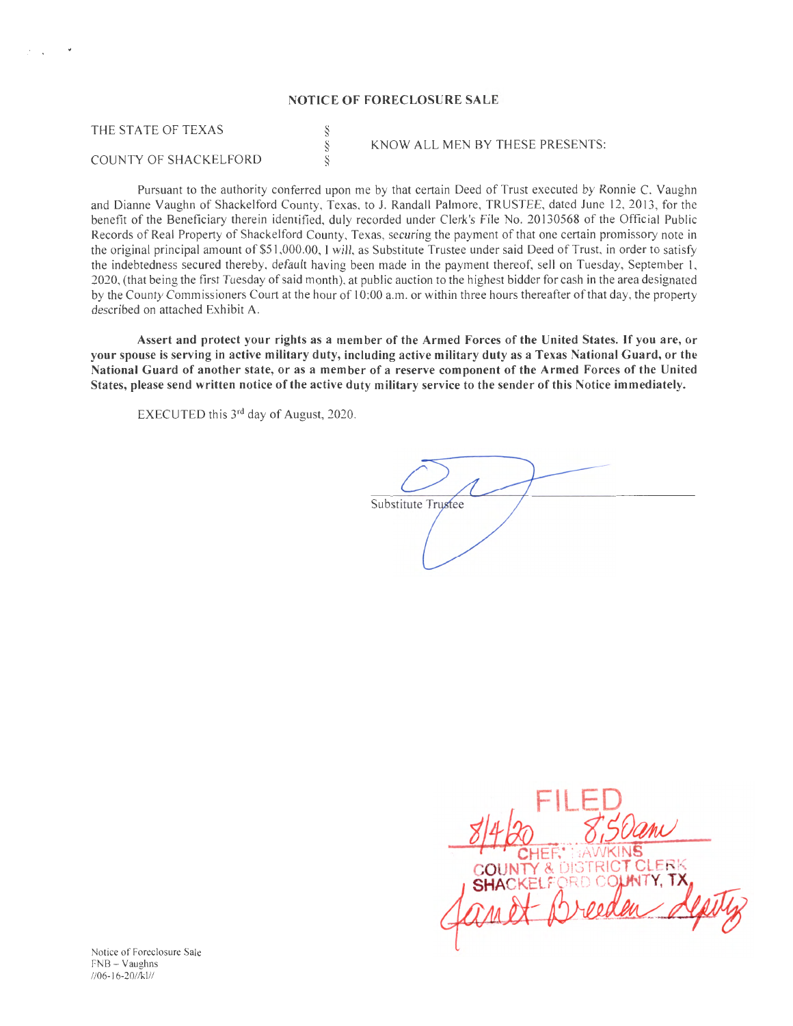## NOTICE OF FORECLOSURE SALE

THE STATE OF TEXAS COUNTY OF SHACKELFORD § § § KNOW ALL MEN BY THESE PRESENTS:

Pursuant to the authority conferred upon me by that certain Deed of Trust executed by Ronnie C. Vaughn and Dianne Vaughn of Shackelford County, Texas, to J. Randall Palmore, TRUSTEE, dated June 12, 2013 , for the benefit of the Beneficiary therein identified, duly recorded under Clerk's File No. 20130568 of the Official Public Records of Real Property of Shackelford County, Texas, securing the payment of that one certain promissory note in the original principal amount of \$51,000.00, I will, as Substitute Trustee under said Deed of Trust, in order to satisfy the indebtedness secured thereby, default having been made in the payment thereof, sell on Tuesday, September 1, 2020, (that being the first Tuesday of said month), at public auction to the highest bidder for cash in the area designated by the County Commissioners Court at the hour of 10:00 a.m. or within three hours thereafter of that day, the property described on attached Exhibit A.

Assert and protect your rights as a member of the Armed Forces of the United States. If you are, or your spouse is serving in active military duty, including active military duty as a Texas National Guard, or the National Guard of another state, or as a member of a reserve component of the Armed Forces of the United States, please send written notice of the active duty military service to the sender of this Notice immediately.

EXECUTED this 3rd day of August, 2020.

.- .

Substitute Trustee



Notice of Foreclosure Sale FNB - Vaughns //06-16-20//kl//